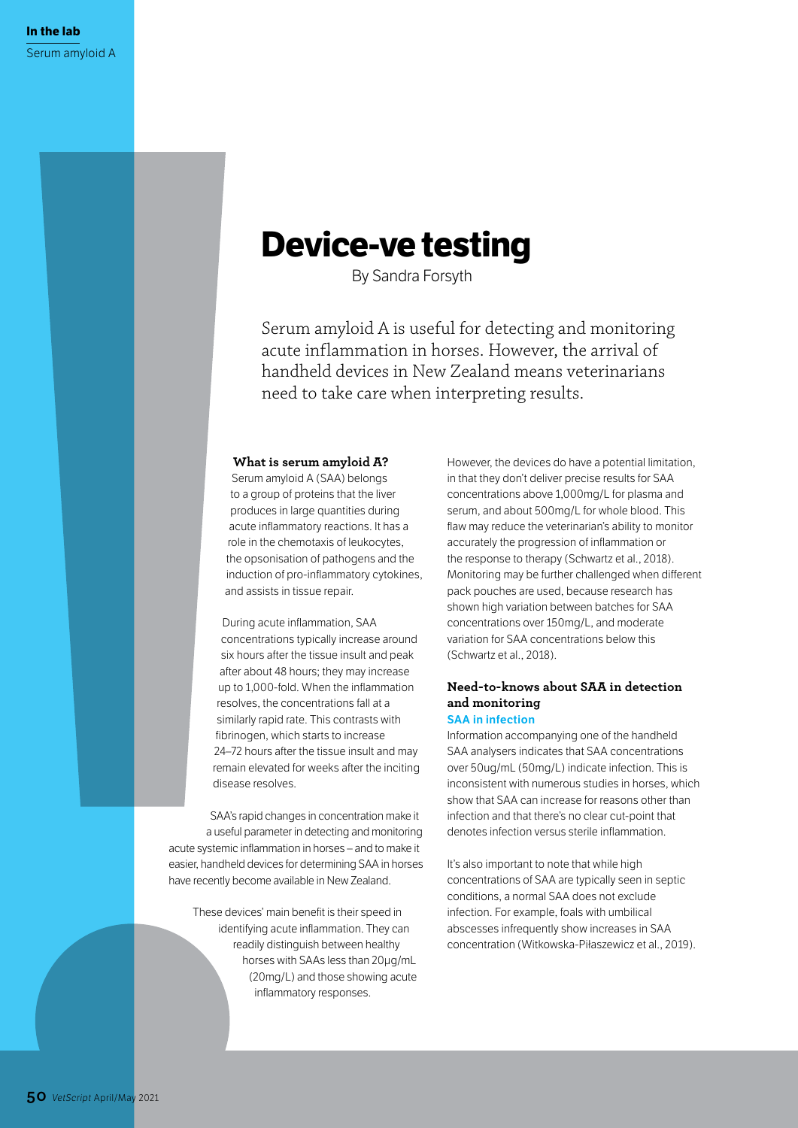# **Device-ve testing**

By Sandra Forsyth

Serum amyloid A is useful for detecting and monitoring acute inflammation in horses. However, the arrival of handheld devices in New Zealand means veterinarians need to take care when interpreting results.

### **What is serum amyloid A?**

Serum amyloid A (SAA) belongs to a group of proteins that the liver produces in large quantities during acute inflammatory reactions. It has a role in the chemotaxis of leukocytes, the opsonisation of pathogens and the induction of pro-inflammatory cytokines, and assists in tissue repair.

During acute inflammation, SAA concentrations typically increase around six hours after the tissue insult and peak after about 48 hours; they may increase up to 1,000-fold. When the inflammation resolves, the concentrations fall at a similarly rapid rate. This contrasts with fibrinogen, which starts to increase 24–72 hours after the tissue insult and may remain elevated for weeks after the inciting disease resolves.

SAA's rapid changes in concentration make it a useful parameter in detecting and monitoring acute systemic inflammation in horses – and to make it easier, handheld devices for determining SAA in horses have recently become available in New Zealand.

These devices' main benefit is their speed in identifying acute inflammation. They can readily distinguish between healthy horses with SAAs less than 20μg/mL (20mg/L) and those showing acute inflammatory responses.

However, the devices do have a potential limitation, in that they don't deliver precise results for SAA concentrations above 1,000mg/L for plasma and serum, and about 500mg/L for whole blood. This flaw may reduce the veterinarian's ability to monitor accurately the progression of inflammation or the response to therapy (Schwartz et al., 2018). Monitoring may be further challenged when different pack pouches are used, because research has shown high variation between batches for SAA concentrations over 150mg/L, and moderate variation for SAA concentrations below this (Schwartz et al., 2018).

# **Need-to-knows about SAA in detection and monitoring SAA in infection**

Information accompanying one of the handheld SAA analysers indicates that SAA concentrations over 50ug/mL (50mg/L) indicate infection. This is inconsistent with numerous studies in horses, which show that SAA can increase for reasons other than infection and that there's no clear cut-point that denotes infection versus sterile inflammation.

It's also important to note that while high concentrations of SAA are typically seen in septic conditions, a normal SAA does not exclude infection. For example, foals with umbilical abscesses infrequently show increases in SAA concentration (Witkowska-Piłaszewicz et al., 2019).